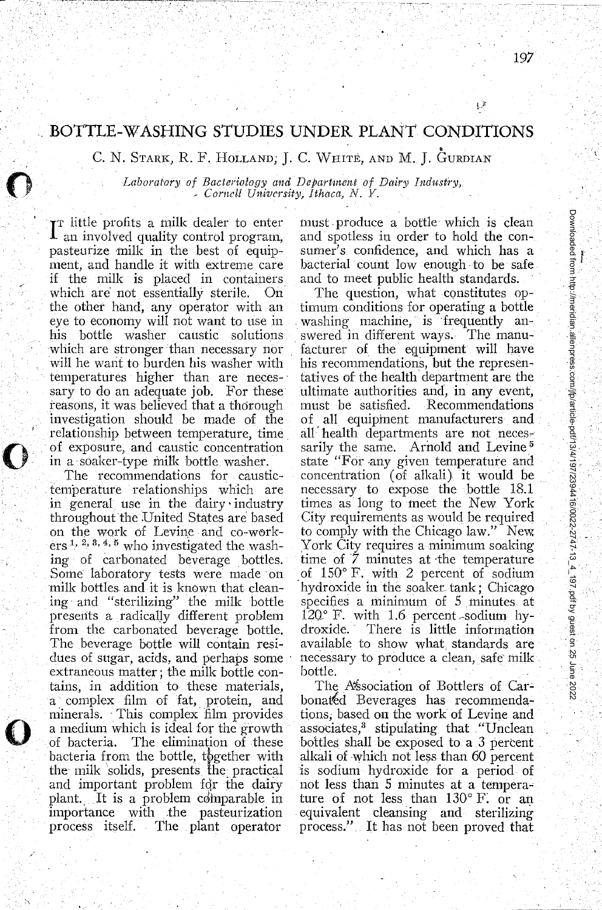## **BOTTLE-WASHING STUDIES UNDER PLANT CONDITIONS**

C. N. STARK, R. F. HOLLAND, J. C. WHITE, AND M. J. GURDIAN

*Laboratory of Bacteriology and Department of Dairy Industry,* • *Cornell University, Ithaca, N. Y.* 

I<sup>T</sup> little profits a milk dealer to enter<br>I an involved quality control program, an involved quality control program, pasteurize milk in the best of equipment, and handle it with extreme care if the milk is placed in containers<br>which are not essentially sterile. On which are not essentially sterile. the other hand, any operator with an eye to economy will not want to use in his bottle washer caustic solutions which are stronger than necessary nor will he want to burden his washer with temperatures higher than are necessary to do an adequate job. For these reasons, it was believed that a thorough investigation should be made of the relationship between temperature, time of exposure, and caustic concentration in a soaker-type milk bottle. washer.

**0** 

**0** 

**0** 

The recommendations for caustictemperature relationships which are in general use in the dairy· industry throughout the United States are based on the work of Levine and co-wen·kers<sup>1, 2, 3, 4, 5</sup> who investigated the washing of carbonated beverage bottles. Some laboratory tests were made on milk bottles and it is known that cleaning and "sterilizing" the milk bottle preserits a radicaUy different problem from the carbonated beverage bottle. The beverage bottle will contain residues of sugar, acids, and perhaps some extraneous matter; the milk bottle contains, in addition to these materials, a complex film of fat, protein, and minerals. This complex film provides a medium which is ideal for the growth of bacteria. The elimination of these bacteria from the bottle, the ether with the milk solids, presents !he: practical and important problem for the dairy plant. It is a problem comparable in importance with the pasteurization process itself. The plant operator

must. produce a bottle which is clean and spotless in order to hold the consumer's confidence, and which has a bacterial count low enough to be safe and to meet public health standards.

The question, what constitutes optimum conditions for operating a bottle washing machine, is frequently answered in different ways. The manufacturer of the equipment will have his recommendations, but the representatives of the health department are the ultimate authorities and, in any event, must be satisfied. Recommendations of all equipment manufacturers and all· health departments are not necessarily the same. Arnold and Levine<sup>5</sup> state "For any given temperature and concentration (of alkali) it would be necessary to expose the bottle 18.1 times as· long to meet the New York City requirements as would be required to comply with the Chicago law." New. York City requires a minimum soaking time of *7* minutes at ·the temperature of  $150^\circ$  F. with 2 percent of sodium hydroxide in the soaker\_ tank; Chicago specifies a minimum of 5 minutes at  $120^{\circ}$  F. with 1.6 percent sodium hydroxide. · There is little information available to show what standards are necessary to produce a clean, safe milk bottle.

The Association of Bottlers of Carbonatéd Beverages has recommendations; based on the work of Levine and associates,<sup>3</sup> stipulating that "Unclean bottles shall be exposed to a 3 percent alkali of which not less than 60 percent is sodium hydroxide for a period of not less than 5 minutes at a temperature of not less than 130° F: or an equivalent cleansing and sterilizing process." It has not been proved that

Downloaded from http://meridian.alienpress.com/frplariicie-pdf13/4/197/2394416/0022-2747-13\_4\_197.pdf by guest on 25 June Downloaded from http://meridian.allenpress.com/jfp/article-pdf/13/4/197/2394416/0022-2747-13\_4\_197.pdf by guest on 25 June 2022

 $2022$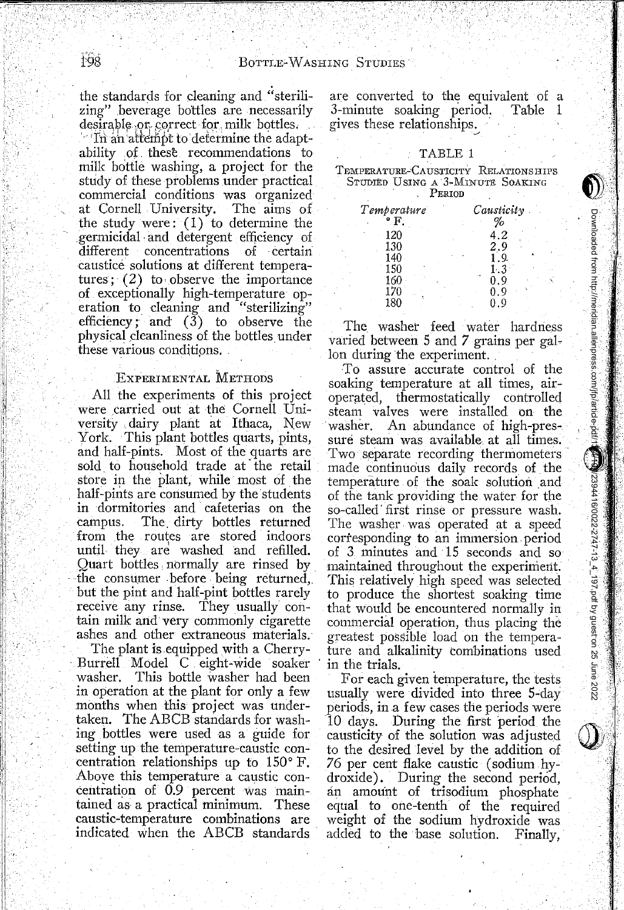the standards for cleaning and "sterilizing" beverage bottles are necessarily<br>desirable or correct for milk bottles.

 $^{\circ}$  In an attempt to determine the adaptability of these recommendations to milk bottle washing, a project for the study of these problems under practical commercial conditions was organized at Cornell University. The aims of the study were:  $(1)$  to determine the germicidal· and detergent efficiency of different concentrations caustice solutions at different temperatures;  $(2)$  to observe the importance of exceptionally high-temperature operation to cleaning and "sterilizing" efficiency; and  $(\delta)$  to observe the physical cleanliness of the bottles under these various conditions.

## ExPERIMENTAL METHODS

All the experiments of this project were carried out at the Cornell University dairy plant at Ithaca, New York. This plant bottles quarts, pints, and half-pints. Most of the quarts are sold to household trade at the retail store in the plant, while most of the half-pints are consumed by the students in dormitories and cafeterias on the campus. The. dirty bottles returned from the routes are stored indoors until they are washed and refilled.<br>Quart bottles normally are rinsed by the consumer before being returned, but the pint and half-pint bottles rarely receive any rinse. They usually contain milk and very commonly cigarette ashes and other extraneous materials.

The plant is equipped with a Cherry- . Burrell Model C eight-wide soaker washer. This bottle washer had been in operation at the plant for only a few months when this project was undertaken. The ABCB standards for washing bottles were used as a guide for setting up the temperature-caustic concentration relationships up to 150° F. Aboye this temperature a caustic concentration of 0.9 percent was maintained as a practical minimum. These caustic-temperature combinations are indicated when the ABCB standards

are converted to the equivalent of a<br>3-minute soaking period. Table 1 3-minute soaking period. gives these relationships.

#### TABLE 1

# TEMPERATURE-CAUSTICITY RELATIONS HIPS STUDIED UsiNG A 3-MINUTE SoAKING PERIOD

| Temperature |  | $Causticity$ . |
|-------------|--|----------------|
| . म         |  | %              |
| 120         |  | $\cdot^2$      |
| 130         |  | 2.9            |
| 140         |  | . 9.           |
| 150         |  | 1.3            |
| 160         |  | n q            |
| 170         |  | 1. Q           |
| 180         |  | - 9            |

The washer feed water hardness varied between 5 and 7 grains per gallon during the experiment.

To assure accurate control of the soaking temperature at all times, airoperated, thermostatically controlled steam valves were installed on the An abundance of high-pressure steam was available. at all times. Two separate recording thermometers made continuous dailv records of the temperature of the soak solution and of the tank providing the water for the so-called· first rinse or pressure wash. The washer. was operated at a speed corresponding to an immersion period. of 3 minutes and 15 seconds and so maintained throughout the experiment. This relatively high speed was selected to produce the shortest soaking time that would be encountered normally in commercial operation, thus placing the greatest possible load on the temperature and alkalinity combinations used in the trials.

Downloaded from http://meridian.allenpress.com/jfp/article-pdf/13/4/197/2394416/0022-2747-13\_4\_197.pdf by guest on 25 June 2022

 $1239441670022-2747-13 \pm 197$ . pdf by guest on 25 June 2022

Downloaded from http://meridian.allenpress.com/jfp/article-pdf/1 移/H线

For each given temperature, the tests usually were divided into three 5-day periods, in a few cases the periods were 10 days. During the first period the causticity of the solution was adjusted to the desired level by the addition of *76* per cent flake caustic (sodium hydroxide). During the second period, an amount of trisodium phosphate equal to one-tenth of the required weight of the sodium hydroxide was added to the base solution. Finally,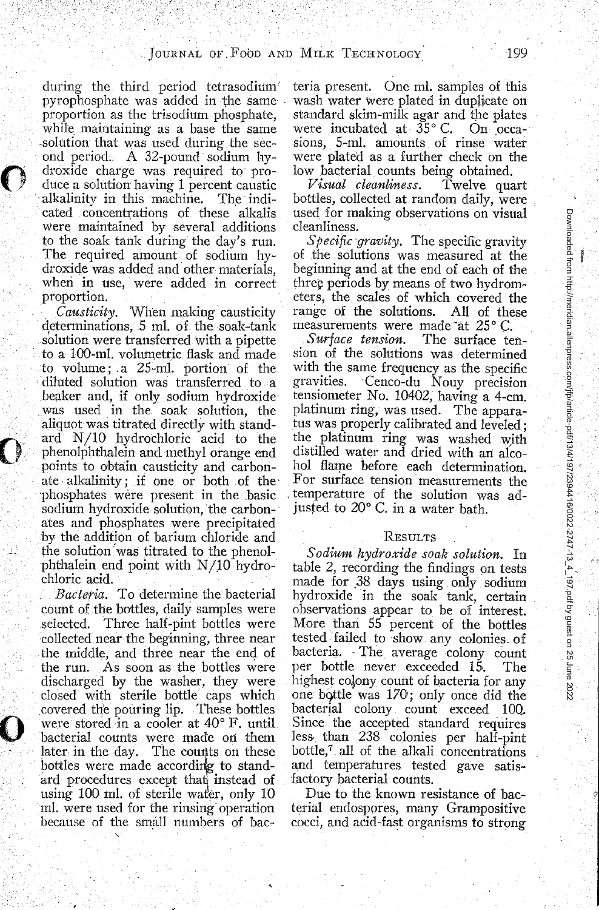during the third period tetrasodium pyrophosphate was added in the same proportion as the trisodium phosphate, while maintaining as a base the same solution that was used during the second period.. A 32-pound sodium hydroxide charge was required to produce a solution having 1 percent caustic alkalinity in this machine. cated concentrations of these alkalis were maintained by several additions to the soak tank during the day's run. The required amount of sodium hydroxide was added and other materials, when in use, were added in correct proportion.

 $\bigcirc$ 

0

. *Causticity.* When making causticity · determinations, 5 ml. of the soak-tank solution were transferred with a pipette to a 100-ml. volumetric flask and made to volume; a 25-ml. portion of the diluted solution was transferred to a beaker and, if only sodium hydroxide was used in the soak solution, the aliquot was titrated directly with standard N/10 hydrochloric acid to the phenolphthalein and methyl orange end points to obtain causticity and carbonate alkalinity; if one or both of the· phosphates were present in the basic sodium hydroxide solution, the carbonates and phosphates were precipitated by the addition of barium chloride and the solution was titrated to the phenolphthalein end point with  $N/10$  hydrochloric acid. .

*Bacteria.* To determine the bacterial count of the bottles, daily samples were selected. Three half-pint bottles were collected near the beginning, three near the middle, and three near the end of the run. As soon as the bottles were discharged by the washer, they were closed with sterile bottle caps which covered the pouring lip. These bottles were stored in a cooler at 40° F. until bacterial counts were made on them later in the day. The counts on these bottles were made according to standard procedures except that instead of using 100 ml. of sterile water, only  $10$ mi. were used for the rinsing operation because of the small numbers of bacteria present. One mi. samples of this wash water were plated in duplicate on standard skim-milk agar and the plates were incubated at  $35^{\circ}$  C. On  $\text{occa-}$ sions, 5-ml. amounts of rinse water were plated as a further check on the

low bacterial counts being obtained.<br>Visual cleanliness. Twelve quart *Visual cleanliness.* bottles, collected at random daily, were used for making observations on visual cleanliness.

*Specific gravity.* The specific gravity of the solutions was measured at the beginning and at the end of each of the three periods by means of two hydrometers, the scales of which covered the range of the solutions. All of these measurements were made at 25° C.<br>Surface tension. The surface te

The surface tension of the solutions was determined with the same frequency as the specific<br>gravities. Cenco-du Nouv precision Cenco-du Nouy precision tensiometer No. 10402, having a 4-cm. platinum ring, was used. The apparatus was properly calibrated and leveled : the platinum ring was washed with distilled water and dried with an alcohol flame before each determination. For surface tension measurements the . temperature of the solution was adjusted to 20° C. in a water bath.

#### RESULTS

*Sodium hydroxide soak solution.* In table 2, recording the findings on tests made for .38 days using only sodium hydroxide in the soak tank, certain observations appear to be of interest. More than 55 percent of the bottles tested failed to show any colonies. of bacteria. The average colony count per bottle never exceeded 15·. The highest colony count of bacteria for any one bq.ttle was 170; only once did the bacterial colony count exceed 100. Since the accepted standard requires less than 238 colonies per half-pint bottle,7 all of the alkali concentrations and temperatures tested gave satisfactory bacterial counts.

Due to the known resistance of bacterial endospores, many Grampositive cocci, and acid-fast organisms to strong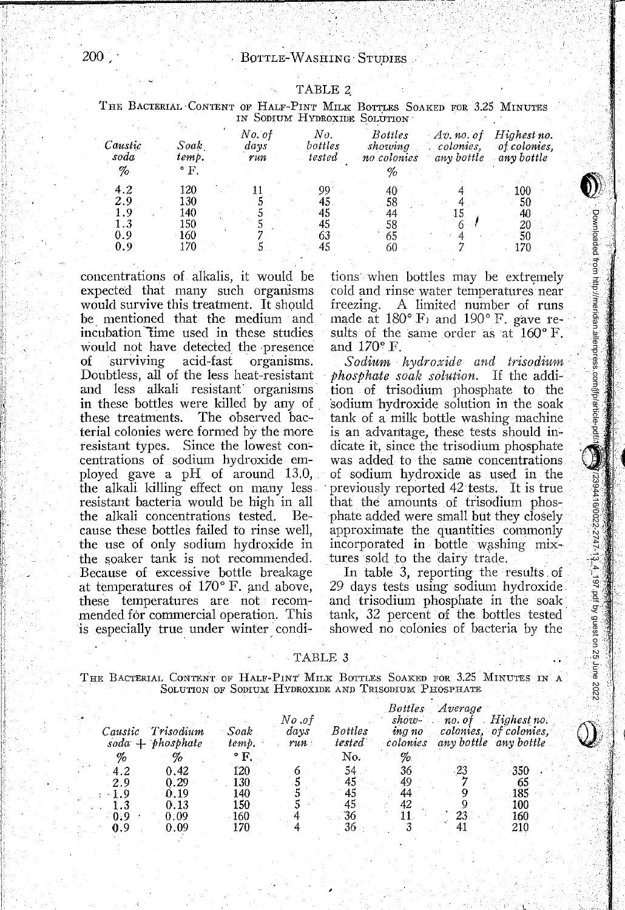| <b>TABLE</b> |  |
|--------------|--|
|--------------|--|

THE BACTERIAL CONTENT OF HALF-PINT MILK BOTTLES SOAKED FOR 3.25 MINUTES IN SODIUM HYDROXIDE SOLUTION

| Caustic<br>soda          | Soak<br>temp.                          | No. of<br>Nο.<br>days<br>bottles<br>tested<br>run |                                  | <b>Bottles</b><br>showing<br>no colonies | $Av$ , no. of<br>colonies.<br>any bottle | Highest no.<br>of colonies.<br>any bottle |  |
|--------------------------|----------------------------------------|---------------------------------------------------|----------------------------------|------------------------------------------|------------------------------------------|-------------------------------------------|--|
| %                        | $\mathbf{P}$ .                         |                                                   |                                  |                                          |                                          |                                           |  |
| 4.2<br>2.9<br>0.9<br>0.9 | 120<br>130<br>140<br>150<br>160<br>-70 |                                                   | 99<br>45<br>45<br>45<br>63<br>45 | 40<br>58<br>44<br>58<br>65<br>60         | 15                                       | 100<br>50<br>40<br>20<br>50               |  |

concentrations of alkalis, it would be expected that many such organisms would survive this treatment. It should be mentioned that the medium and incubation time used in these studies would not have detected the presence of surviving acid-fast organisms. Doubtless, all of the less heat-resistant and less alkali resistant organisms in these bottles were killed by any of these treatments. The observed bacterial colonies were formed by the more resistant types. Since the lowest concentrations of sodium hydroxide employed gave a pH of around 13.0, the alkali killing effect on many less resistant bacteria would be high in all the alkali concentrations tested. Because these bottles failed to rinse well, the use of only sodium hydroxide in the soaker tank is not recommended. Because of excessive bottle breakage at temperatures of  $170^{\circ}$  F. and above, these temperatures are not recommended for commercial operation. This is especially true under winter condi-

tions when bottles may be extremely cold and rinse water temperatures near freezing. A limited number of runs made at  $180^{\circ}$  F<sub>i</sub> and  $190^{\circ}$  F, gave results of the same order as at  $160^\circ$  F. and  $170^\circ$  F.

·~ .\ :t .,

 $\mathcal{U}$  .

;·i

Downloaded from http://meridian.allenpress.com/jfp/article-pdf/13/4/197/42-2747-13\_4\_197.pdf by guest on 25 June 2022

. Downloaded from http://meridian.alienpress.com/frplantole-pdf/@<mark>/meridian.com/st</mark>2/2747-197-pdf by guest on 25 June 2022

*Sodium h)Jdro/cide and trisodium phosphate soah solution.* If the addition of trisodium phosphate to the sodium hydroxide solution in the soak tank of a milk bottle washing machine is an advantage, these tests should in~ dicate it, since the trisodium phosphate was added to the same concentrations of sodium hydroxide as used in the previously reported 42 tests. It is true that the amounts of trisodium phosphate added were small but they closely approximate the quantities commonly incorporated in bottle washing mixtures sold to the dairy trade.

In table 3, reporting the results . of 29 days tests using sodium hydroxide. and trisodium phosphate in the soak tank, 32 percent of the bottles tested showed no colonies of bacteria by the

TABLE 3

THE BACTERIAL CONTENT OF HALF-PINT MILK BOTTLES SOAKED FOR 3.25 MINUTES IN A SOLUTION OF SODIUM HYDROXIDE AND TRISODIUM PHOSPHATE

|            |                                 |               | No .of      |                          | <i>Bottles</i><br>show- | Average<br>$no.$ $ot$ | Highest no.                                     |
|------------|---------------------------------|---------------|-------------|--------------------------|-------------------------|-----------------------|-------------------------------------------------|
| Caustic    | Trisodium<br>$soda + phosphate$ | Soak<br>temb. | davs<br>run | <b>Bottles</b><br>tested | ing no<br>colonies      |                       | colonies, of colonies.<br>any bottle any bottle |
| %          |                                 | ° F.          |             | No.                      | %                       |                       |                                                 |
| 4.2        | 0.42                            | 120           |             | 54                       | 36                      |                       | -350                                            |
| 2.9        | 0.29                            | 130           |             | 45                       | 49                      |                       | 65                                              |
| $\sim$ 1.9 | 0.19<br>0.13                    | 140<br>150    |             | 45                       | 44<br>42                |                       | 185<br>100                                      |
| 0.9        | 0.09                            | 160           |             | 36                       |                         |                       | 160                                             |
| 0.9        | 0.09                            | 170           |             | 36                       |                         |                       | 210                                             |

II.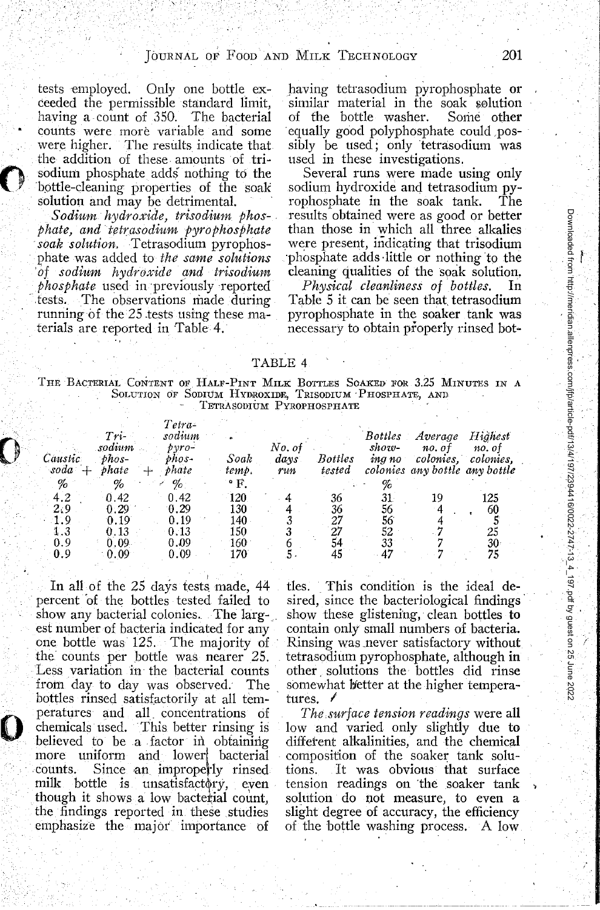tests employed. Only one bottle exceeded the permissible standard limit, having a count of 350. The bacterial counts were more variable and some were higher. The results indicate that the addition of these amounts of trisodium phosphate adds nothing to the 'bpttle-cleaning properties of the soak solution and may be detrimental.

 $\bullet$ 

 $\mathbf{O}$ 

0

Sodium hydroxide, trisodium phos*phate, and tetrasodium pyrophosphate* soak solution. Tetrasodium pyrophosphate was added to *the same solutions 'of sodhtm hydroxide and trisodium phosphate* used in ·previously reported tests. The observations made during running of the 25 tests using these materials are reported in Table 4.

having tetrasodium pyrophosphate or similar material in the soak solution<br>of the bottle washer. Some other of the bottle washer. equally good polyphosphate could .possibly be used; only tetrasodium was used in these investigations.

Several runs were made using only sodium hydroxide and tetrasodium pyrophosphate in the soak tank. The results obtained were as good or better than those in which all three alkalies were present, indicating that trisodium -phosphate adds ·little or nothing to the cleaning qualities of the soak solution,

*Physical cleanliness of bottles.* In Table 5 it can be seen that. tetrasodium pyrophosphate in the soaker tank was necessary to obtain properly rinsed bot-

#### TABLE 4

THE BACTERIAL CoNTENT OF HALF-PINT MILK BOTTLES SoAKED FOR 3.25 MINUTES IN A Solution of Sodium Hydroxide, Trisodium Phosphate, and TETRASODIUM PYROPHOSPHATE

| Caustic<br>soda | Tri<br>sodium<br>$phos-$<br>phate | Tetra-<br>sodium<br>pvro-<br>bhos-<br>phate<br>خباد | Soak<br>temp. | No. of<br>days<br>run | <b>Bottles</b><br>tested | Bottles<br>show-<br>ing no | Average<br>no. ot<br>colonies. | Highest<br>no. ot<br>colonies.<br>colonies any bottle any bottle |
|-----------------|-----------------------------------|-----------------------------------------------------|---------------|-----------------------|--------------------------|----------------------------|--------------------------------|------------------------------------------------------------------|
| %               | %                                 | %                                                   | $\cdot$ F.    |                       |                          |                            |                                |                                                                  |
| 4.2             | 0.42                              | 0.42                                                | 120           |                       | 36                       | 31.                        | 19                             | 125                                                              |
| 2,9             | 0.29                              | 0.29                                                | 130           |                       | 36                       | 56                         |                                | 60                                                               |
| 1.9             | 0.19                              | 0.19                                                | 140           |                       | 27                       | 56                         |                                |                                                                  |
| 1.3             | 0.13                              | $0.13\,$                                            | 150           |                       | 27                       | 52                         |                                | 25                                                               |
| 0.9             | $0.09 -$                          | 0.09                                                | 160           |                       |                          | 33                         |                                | 30                                                               |
| 0.9             | 0.09                              | 0.09                                                | 170           |                       |                          |                            |                                |                                                                  |

In all of the  $25$  days tests made,  $44$ percent 'of the bottles tested failed to show any bacterial colonies. The largest number of bacteria indicated for any one bottle was· 125. The majority of the counts per bottle was nearer 25. Less variation in· the bacterial counts from day to day was observed. The bottles rinsed satisfactorily at all temperatures and all. concentrations of chemicals used. This better rinsing is believed to be a factor in obtaining more uniform and lower! bacterial counts. Since an improperly rinsed milk bottle is unsatisfactory, even though it shows a low bacterial count, the findings reported in these studies emphasize the majot' importance of

tles. This condition is the ideal desired, since the bacteriological findings· show these glistening, clean bottles to contain only small numbers of bacteria. Rinsing was .never satisfactory without tetrasodium pyrophosphate, although in other . solutions the· bottles did rinse somewhat lietter at the higher temperatures.  $\ell$ 

*The.surface tension readings* were all low and varied only slightly due to different alkalinities, and the chemical composition of the soaker tank solutions. It was obvious that surface tension readings on the soaker tank solution do not measure, to even a slight degree of accuracy, the efficiency of the bottle washing process. A low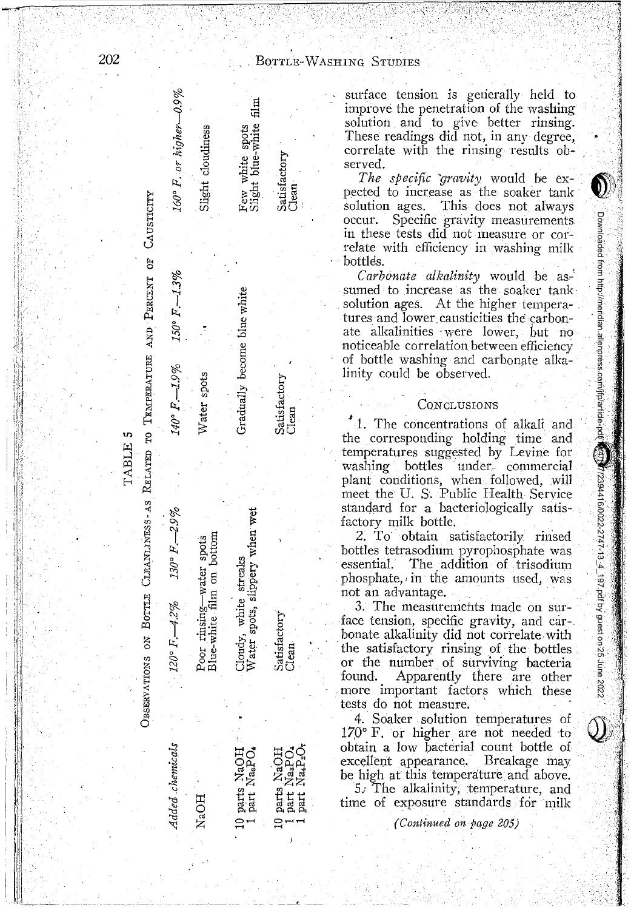| 202     |                                                                                                                                           |                                                       |                                                                     |                                                                                       |  |  |  |  |
|---------|-------------------------------------------------------------------------------------------------------------------------------------------|-------------------------------------------------------|---------------------------------------------------------------------|---------------------------------------------------------------------------------------|--|--|--|--|
|         | $160^{\circ}$ F, or higher -0.9%                                                                                                          | Slight cloudiness                                     | Few white spots<br>Slight blue-white film                           | Satisfactory<br>Clean.                                                                |  |  |  |  |
|         | $150^{\circ}$ F, $-1.3\%$<br>$140^{\circ} F - 1.9\%$                                                                                      | Water spots                                           | Gradually become blue white                                         | Satisfactory<br>Clean                                                                 |  |  |  |  |
| TABLE 5 | OBSERVATIONS ON BOTTLE CLEANLANESS-AS RELATED TO TEMPERATURE AND PERCENT OF CAUSTICITY<br>$120^{\circ} F. -4.2\%$ $130^{\circ} F. -2.9\%$ | Poor rinsing—water spots<br>Blue-white film on bottom | Water spots, slippery when wet<br>Cloudy, white streaks             | Satisfactory<br>Clean                                                                 |  |  |  |  |
|         | Added chemicals                                                                                                                           | NaOH                                                  | 0 parts NaOH <sup>-</sup><br>1 part Na <sub>a</sub> PO <sub>4</sub> | 10 parts NaOH<br>1 part NaaPO <sub>4</sub><br>1 part Na4P <sub>2</sub> O <sub>7</sub> |  |  |  |  |

**EING** STUDIES

 $\overline{r}$  ,  $\overline{r}$  ,  $\overline{r}$   $\overline{r}$  ,  $\overline{r}$ 

surface tension is gerierally held to improve the penetration of the washing solution and to give better rinsing. These readings did not, in any degree. correlate with the rinsing results observed.

*The specific gravity* would be expected to increase as the soaker tank solution ages. This does not always occur. Specific gravity measurements in these tests did not measure or correlate with efficiency in washing milk bottles.

Carbonate alkalinity would be assumed to increase as the soaker tank solution ages. At the higher temperatures and lower causticities the carbonate alkalinities were lower, but no noticeable correlation between efficiency of bottle washing and carbonate alka~ linity could be observed.

### CONCLUSIONS

<sup>~</sup>1. The concentrations of alkali and the corresponding holding time and temperatures suggested by Levine for washing bottles under commercial plant conditions, when followed, will meet the U. S. Public Health Service standard for a bacteriologically satisfactory milk bottle.

' :~ ' I

Downloaded from http://meridian.allenpress.com/jfp/article-pdf/13/4/18/2394416/0022-2747-13\_4\_197.pdf by guest on 25 June 2022

Downloaded from http://meridian.allenpress.com/jfp/article-pdf

 $\mathbf{1}$ 

2. To obtain satisfactorily rinsed bottles tetrasodium pyrophosphate was essential. The addition of trisodium phosphate, in the amounts used, was not an advantage.

3. The measurements made on surface tension, specific gravity, and carbonate alkaJinity did not correlate with the satisfactory rinsing of the bottles or the number of surviving bacteria found. Apparently there are other . more important factors which these tests do not measure.

4. Soaker solution temperatures of  $170^\circ$  F. or higher are not needed to obtain a low bacterial count bottle of excellent appearance. Breakage may be high at this temperature and above.

*5.:* The alkalinity; temperature, and time of exposure standards for milk

*(Continued on page 205)*